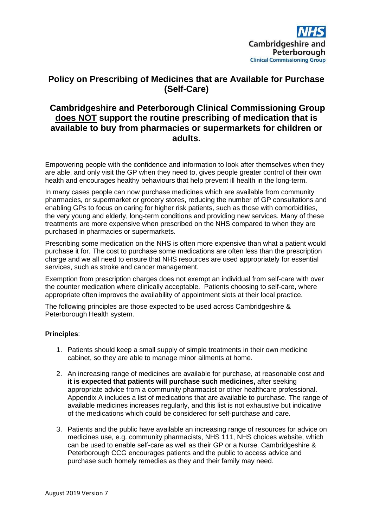

# **Policy on Prescribing of Medicines that are Available for Purchase (Self-Care)**

## **Cambridgeshire and Peterborough Clinical Commissioning Group does NOT support the routine prescribing of medication that is available to buy from pharmacies or supermarkets for children or adults.**

Empowering people with the confidence and information to look after themselves when they are able, and only visit the GP when they need to, gives people greater control of their own health and encourages healthy behaviours that help prevent ill health in the long-term.

In many cases people can now purchase medicines which are available from community pharmacies, or supermarket or grocery stores, reducing the number of GP consultations and enabling GPs to focus on caring for higher risk patients, such as those with comorbidities, the very young and elderly, long-term conditions and providing new services. Many of these treatments are more expensive when prescribed on the NHS compared to when they are purchased in pharmacies or supermarkets.

Prescribing some medication on the NHS is often more expensive than what a patient would purchase it for. The cost to purchase some medications are often less than the prescription charge and we all need to ensure that NHS resources are used appropriately for essential services, such as stroke and cancer management.

Exemption from prescription charges does not exempt an individual from self-care with over the counter medication where clinically acceptable. Patients choosing to self-care, where appropriate often improves the availability of appointment slots at their local practice.

The following principles are those expected to be used across Cambridgeshire & Peterborough Health system.

#### **Principles**:

- 1. Patients should keep a small supply of simple treatments in their own medicine cabinet, so they are able to manage minor ailments at home.
- 2. An increasing range of medicines are available for purchase, at reasonable cost and **it is expected that patients will purchase such medicines,** after seeking appropriate advice from a community pharmacist or other healthcare professional. Appendix A includes a list of medications that are available to purchase. The range of available medicines increases regularly, and this list is not exhaustive but indicative of the medications which could be considered for self-purchase and care.
- 3. Patients and the public have available an increasing range of resources for advice on medicines use, e.g. community pharmacists, NHS 111, NHS choices website, which can be used to enable self-care as well as their GP or a Nurse. Cambridgeshire & Peterborough CCG encourages patients and the public to access advice and purchase such homely remedies as they and their family may need.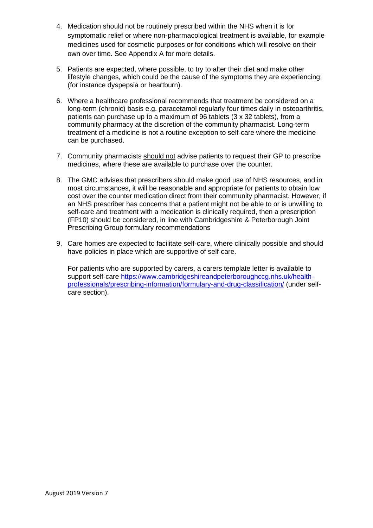- 4. Medication should not be routinely prescribed within the NHS when it is for symptomatic relief or where non-pharmacological treatment is available, for example medicines used for cosmetic purposes or for conditions which will resolve on their own over time. See Appendix A for more details.
- 5. Patients are expected, where possible, to try to alter their diet and make other lifestyle changes, which could be the cause of the symptoms they are experiencing; (for instance dyspepsia or heartburn).
- 6. Where a healthcare professional recommends that treatment be considered on a long-term (chronic) basis e.g. paracetamol regularly four times daily in osteoarthritis, patients can purchase up to a maximum of 96 tablets (3 x 32 tablets), from a community pharmacy at the discretion of the community pharmacist. Long-term treatment of a medicine is not a routine exception to self-care where the medicine can be purchased.
- 7. Community pharmacists should not advise patients to request their GP to prescribe medicines, where these are available to purchase over the counter.
- 8. The GMC advises that prescribers should make good use of NHS resources, and in most circumstances, it will be reasonable and appropriate for patients to obtain low cost over the counter medication direct from their community pharmacist. However, if an NHS prescriber has concerns that a patient might not be able to or is unwilling to self-care and treatment with a medication is clinically required, then a prescription (FP10) should be considered, in line with Cambridgeshire & Peterborough Joint Prescribing Group formulary recommendations
- 9. Care homes are expected to facilitate self-care, where clinically possible and should have policies in place which are supportive of self-care.

For patients who are supported by carers, a carers template letter is available to support self-care [https://www.cambridgeshireandpeterboroughccg.nhs.uk/health](https://www.cambridgeshireandpeterboroughccg.nhs.uk/health-professionals/prescribing-information/formulary-and-drug-classification/)[professionals/prescribing-information/formulary-and-drug-classification/](https://www.cambridgeshireandpeterboroughccg.nhs.uk/health-professionals/prescribing-information/formulary-and-drug-classification/) (under selfcare section).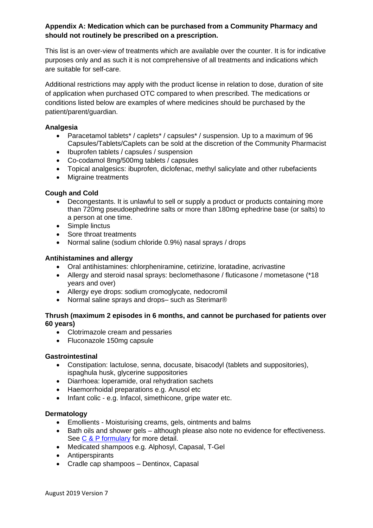### **Appendix A: Medication which can be purchased from a Community Pharmacy and should not routinely be prescribed on a prescription.**

This list is an over-view of treatments which are available over the counter. It is for indicative purposes only and as such it is not comprehensive of all treatments and indications which are suitable for self-care.

Additional restrictions may apply with the product license in relation to dose, duration of site of application when purchased OTC compared to when prescribed. The medications or conditions listed below are examples of where medicines should be purchased by the patient/parent/guardian.

#### **Analgesia**

- Paracetamol tablets\* / caplets\* / capsules\* / suspension. Up to a maximum of 96 Capsules/Tablets/Caplets can be sold at the discretion of the Community Pharmacist
- Ibuprofen tablets / capsules / suspension
- Co-codamol 8mg/500mg tablets / capsules
- Topical analgesics: ibuprofen, diclofenac, methyl salicylate and other rubefacients
- Migraine treatments

#### **Cough and Cold**

- Decongestants. It is unlawful to sell or supply a product or products containing more than 720mg pseudoephedrine salts or more than 180mg ephedrine base (or salts) to a person at one time.
- Simple linctus
- Sore throat treatments
- Normal saline (sodium chloride 0.9%) nasal sprays / drops

#### **Antihistamines and allergy**

- Oral antihistamines: chlorpheniramine, cetirizine, loratadine, acrivastine
- Allergy and steroid nasal sprays: beclomethasone / fluticasone / mometasone (\*18 years and over)
- Allergy eye drops: sodium cromoglycate, nedocromil
- Normal saline sprays and drops– such as Sterimar®

#### **Thrush (maximum 2 episodes in 6 months, and cannot be purchased for patients over 60 years)**

- Clotrimazole cream and pessaries
- Fluconazole 150mg capsule

#### **Gastrointestinal**

- Constipation: lactulose, senna, docusate, bisacodyl (tablets and suppositories), ispaghula husk, glycerine suppositories
- Diarrhoea: loperamide, oral rehydration sachets
- Haemorrhoidal preparations e.g. Anusol etc
- Infant colic e.g. Infacol, simethicone, gripe water etc.

#### **Dermatology**

- Emollients Moisturising creams, gels, ointments and balms
- Bath oils and shower gels although please also note no evidence for effectiveness. See [C & P formulary](http://www.cambridgeshireandpeterboroughformulary.nhs.uk/default.asp) for more detail.
- Medicated shampoos e.g. Alphosyl, Capasal, T-Gel
- Antiperspirants
- Cradle cap shampoos Dentinox, Capasal